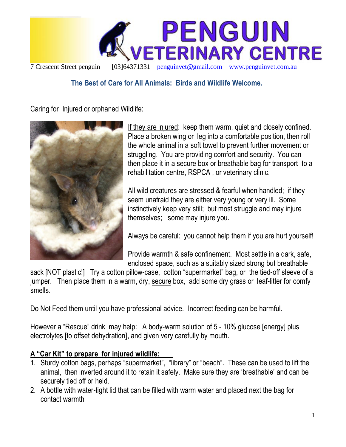

## **The Best of Care for All Animals: Birds and Wildlife Welcome.**

Caring for Injured or orphaned Wildlife:



If they are injured: keep them warm, quiet and closely confined. Place a broken wing or leg into a comfortable position, then roll the whole animal in a soft towel to prevent further movement or struggling. You are providing comfort and security. You can then place it in a secure box or breathable bag for transport to a rehabilitation centre, RSPCA , or veterinary clinic.

All wild creatures are stressed & fearful when handled; if they seem unafraid they are either very young or very ill. Some instinctively keep very still; but most struggle and may injure themselves; some may injure you.

Always be careful: you cannot help them if you are hurt yourself!

Provide warmth & safe confinement. Most settle in a dark, safe, enclosed space, such as a suitably sized strong but breathable

sack [NOT plastic!] Try a cotton pillow-case, cotton "supermarket" bag, or the tied-off sleeve of a jumper. Then place them in a warm, dry, secure box, add some dry grass or leaf-litter for comfy smells.

Do Not Feed them until you have professional advice. Incorrect feeding can be harmful.

However a "Rescue" drink may help: A body-warm solution of 5 - 10% glucose [energy] plus electrolytes [to offset dehydration], and given very carefully by mouth.

## **A "Car Kit" to prepare for injured wildlife:**

- 1. Sturdy cotton bags, perhaps "supermarket", "library" or "beach". These can be used to lift the animal, then inverted around it to retain it safely. Make sure they are "breathable" and can be securely tied off or held.
- 2. A bottle with water-tight lid that can be filled with warm water and placed next the bag for contact warmth